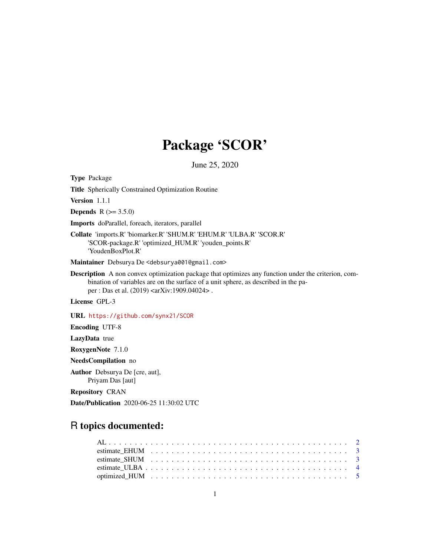# Package 'SCOR'

June 25, 2020

Type Package

Title Spherically Constrained Optimization Routine

Version 1.1.1

**Depends** R  $(>= 3.5.0)$ 

Imports doParallel, foreach, iterators, parallel

Collate 'imports.R' 'biomarker.R' 'SHUM.R' 'EHUM.R' 'ULBA.R' 'SCOR.R' 'SCOR-package.R' 'optimized\_HUM.R' 'youden\_points.R' 'YoudenBoxPlot.R'

Maintainer Debsurya De <debsurya001@gmail.com>

Description A non convex optimization package that optimizes any function under the criterion, combination of variables are on the surface of a unit sphere, as described in the paper : Das et al. (2019) <arXiv:1909.04024> .

License GPL-3

URL <https://github.com/synx21/SCOR>

Encoding UTF-8

LazyData true

RoxygenNote 7.1.0

NeedsCompilation no

Author Debsurya De [cre, aut], Priyam Das [aut]

Repository CRAN

Date/Publication 2020-06-25 11:30:02 UTC

# R topics documented: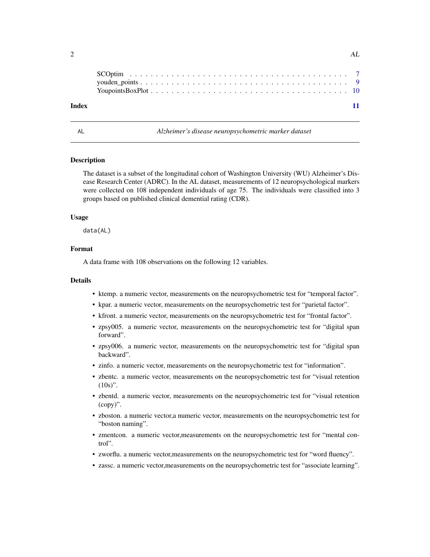| Index |  |  |  |  |  |  |  |  |  |  |  |  |  |  |  |  | $\overline{11}$ |
|-------|--|--|--|--|--|--|--|--|--|--|--|--|--|--|--|--|-----------------|

AL *Alzheimer's disease neuropsychometric marker dataset*

#### **Description**

The dataset is a subset of the longitudinal cohort of Washington University (WU) Alzheimer's Disease Research Center (ADRC). In the AL dataset, measurements of 12 neuropsychological markers were collected on 108 independent individuals of age 75. The individuals were classified into 3 groups based on published clinical demential rating (CDR).

### Usage

data(AL)

#### Format

A data frame with 108 observations on the following 12 variables.

#### Details

- ktemp. a numeric vector, measurements on the neuropsychometric test for "temporal factor".
- kpar. a numeric vector, measurements on the neuropsychometric test for "parietal factor".
- kfront. a numeric vector, measurements on the neuropsychometric test for "frontal factor".
- zpsy005. a numeric vector, measurements on the neuropsychometric test for "digital span forward".
- zpsy006. a numeric vector, measurements on the neuropsychometric test for "digital span backward".
- zinfo. a numeric vector, measurements on the neuropsychometric test for "information".
- zbentc. a numeric vector, measurements on the neuropsychometric test for "visual retention  $(10s)$ ".
- zbentd. a numeric vector, measurements on the neuropsychometric test for "visual retention (copy)".
- zboston. a numeric vector,a numeric vector, measurements on the neuropsychometric test for "boston naming".
- zmentcon. a numeric vector,measurements on the neuropsychometric test for "mental control".
- zworflu. a numeric vector,measurements on the neuropsychometric test for "word fluency".
- zassc. a numeric vector,measurements on the neuropsychometric test for "associate learning".

<span id="page-1-0"></span>2  $\Delta L$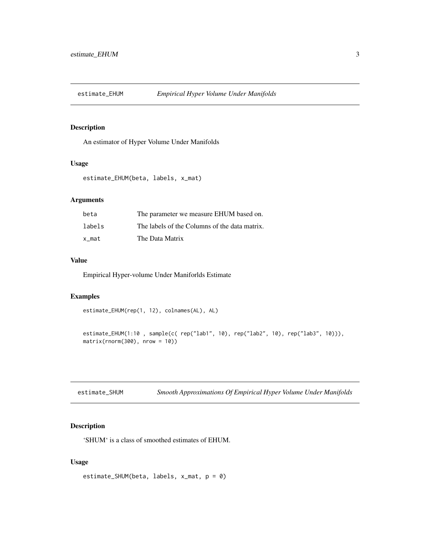<span id="page-2-0"></span>

# Description

An estimator of Hyper Volume Under Manifolds

#### Usage

```
estimate_EHUM(beta, labels, x_mat)
```
# Arguments

| beta   | The parameter we measure EHUM based on.       |
|--------|-----------------------------------------------|
| labels | The labels of the Columns of the data matrix. |
| x mat  | The Data Matrix                               |

# Value

Empirical Hyper-volume Under Maniforlds Estimate

#### Examples

```
estimate_EHUM(rep(1, 12), colnames(AL), AL)
```

```
estimate_EHUM(1:10 , sample(c( rep("lab1", 10), rep("lab2", 10), rep("lab3", 10))),
matrix(rnorm(300), nrow = 10))
```

| estimate_SHUM | Smooth Approximations Of Empirical Hyper Volume Under Manifolds |  |  |
|---------------|-----------------------------------------------------------------|--|--|
|               |                                                                 |  |  |

# Description

'SHUM' is a class of smoothed estimates of EHUM.

# Usage

```
estimate_SHUM(beta, labels, x_mat, p = 0)
```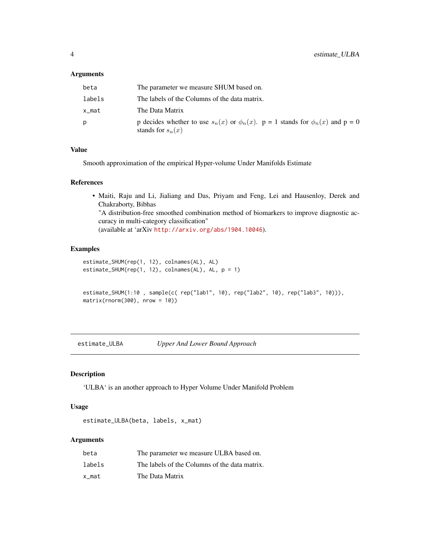# <span id="page-3-0"></span>Arguments

| beta   | The parameter we measure SHUM based on.                                                                              |
|--------|----------------------------------------------------------------------------------------------------------------------|
| labels | The labels of the Columns of the data matrix.                                                                        |
| x_mat  | The Data Matrix                                                                                                      |
| D      | p decides whether to use $s_n(x)$ or $\phi_n(x)$ . $p = 1$ stands for $\phi_n(x)$ and $p = 0$<br>stands for $s_n(x)$ |

# Value

Smooth approximation of the empirical Hyper-volume Under Manifolds Estimate

#### References

• Maiti, Raju and Li, Jialiang and Das, Priyam and Feng, Lei and Hausenloy, Derek and Chakraborty, Bibhas

"A distribution-free smoothed combination method of biomarkers to improve diagnostic accuracy in multi-category classification" (available at 'arXiv <http://arxiv.org/abs/1904.10046>).

### Examples

```
estimate_SHUM(rep(1, 12), colnames(AL), AL)
estimate_SHUM(rep(1, 12), colnames(AL), AL, p = 1)
```

```
estimate_SHUM(1:10 , sample(c( rep("lab1", 10), rep("lab2", 10), rep("lab3", 10))),
matrix(rnorm(300), nrow = 10))
```
estimate\_ULBA *Upper And Lower Bound Approach*

#### Description

'ULBA' is an another approach to Hyper Volume Under Manifold Problem

# Usage

```
estimate_ULBA(beta, labels, x_mat)
```
#### Arguments

| beta   | The parameter we measure ULBA based on.       |
|--------|-----------------------------------------------|
| labels | The labels of the Columns of the data matrix. |
| x mat  | The Data Matrix                               |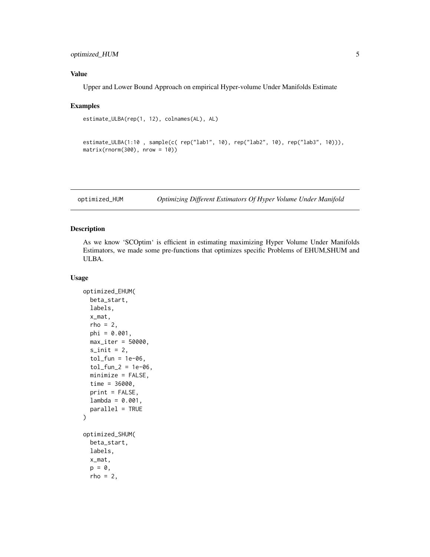# <span id="page-4-0"></span>optimized\_HUM 5

# Value

Upper and Lower Bound Approach on empirical Hyper-volume Under Manifolds Estimate

#### Examples

```
estimate_ULBA(rep(1, 12), colnames(AL), AL)
```

```
estimate_ULBA(1:10 , sample(c( rep("lab1", 10), rep("lab2", 10), rep("lab3", 10))),
matrix(rnorm(300), nrow = 10))
```
optimized\_HUM *Optimizing Different Estimators Of Hyper Volume Under Manifold*

# Description

As we know 'SCOptim' is efficient in estimating maximizing Hyper Volume Under Manifolds Estimators, we made some pre-functions that optimizes specific Problems of EHUM,SHUM and ULBA.

#### Usage

```
optimized_EHUM(
  beta_start,
  labels,
  x_mat,
  rho = 2,
  phi = 0.001,
  max\_iter = 50000,
  s_init = 2,
  tol_fun = 1e-06,tol_fun_2 = 1e-06,minimize = FALSE,
  time = 36000,print = FALSE,
  lambda = 0.001,parallel = TRUE
)
optimized_SHUM(
  beta_start,
  labels,
  x_mat,
  p = 0,
  rho = 2,
```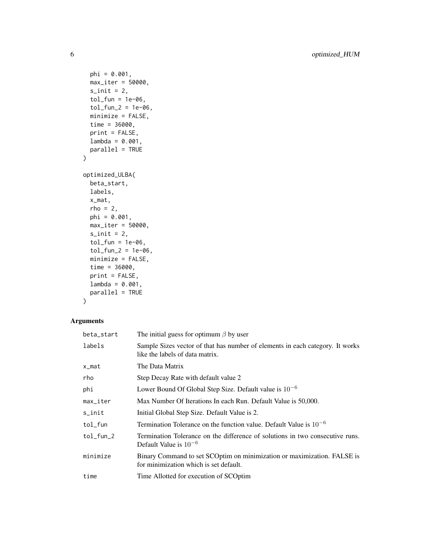```
phi = 0.001,
 max_iter = 50000,
 s_init = 2,
 tol_fun = 1e-06,tol_fun_2 = 1e-06,
 minimize = FALSE,
 time = 36000,
 print = FALSE,
 lambda = 0.001,
 parallel = TRUE
)
optimized_ULBA(
 beta_start,
 labels,
 x_mat,
 rho = 2,
 phi = 0.001,
 max_iter = 50000,
 s_init = 2,
 tol_fun = 1e-06,tol_fun_2 = 1e-06,
 minimize = FALSE,
 time = 36000,
 print = FALSE,
 lambda = 0.001,parallel = TRUE
```

```
)
```
# Arguments

| beta_start             | The initial guess for optimum $\beta$ by user                                                                     |
|------------------------|-------------------------------------------------------------------------------------------------------------------|
| labels                 | Sample Sizes vector of that has number of elements in each category. It works<br>like the labels of data matrix.  |
| x_mat                  | The Data Matrix                                                                                                   |
| rho                    | Step Decay Rate with default value 2                                                                              |
| phi                    | Lower Bound Of Global Step Size. Default value is $10^{-6}$                                                       |
| $max$ <sub>Liter</sub> | Max Number Of Iterations In each Run. Default Value is 50,000.                                                    |
| s_init                 | Initial Global Step Size. Default Value is 2.                                                                     |
| tol_fun                | Termination Tolerance on the function value. Default Value is $10^{-6}$                                           |
| $tol$ fun $_2$         | Termination Tolerance on the difference of solutions in two consecutive runs.<br>Default Value is $10^{-6}$       |
| minimize               | Binary Command to set SCOptim on minimization or maximization. FALSE is<br>for minimization which is set default. |
| time                   | Time Allotted for execution of SCOptim                                                                            |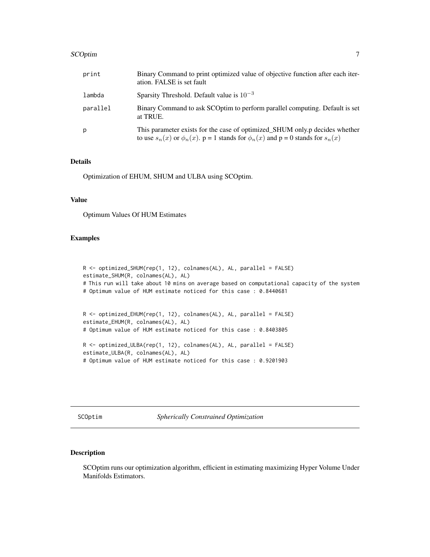#### <span id="page-6-0"></span>SCOptim  $\qquad \qquad$  7

| print    | Binary Command to print optimized value of objective function after each iter-<br>ation. FALSE is set fault                                                                    |
|----------|--------------------------------------------------------------------------------------------------------------------------------------------------------------------------------|
| lambda   | Sparsity Threshold. Default value is $10^{-3}$                                                                                                                                 |
| parallel | Binary Command to ask SCOptim to perform parallel computing. Default is set<br>at TRUE.                                                                                        |
| p        | This parameter exists for the case of optimized_SHUM only.p decides whether<br>to use $s_n(x)$ or $\phi_n(x)$ . $p = 1$ stands for $\phi_n(x)$ and $p = 0$ stands for $s_n(x)$ |

# Details

Optimization of EHUM, SHUM and ULBA using SCOptim.

# Value

Optimum Values Of HUM Estimates

# Examples

```
R <- optimized_SHUM(rep(1, 12), colnames(AL), AL, parallel = FALSE)
estimate_SHUM(R, colnames(AL), AL)
# This run will take about 10 mins on average based on computational capacity of the system
# Optimum value of HUM estimate noticed for this case : 0.8440681
R <- optimized_EHUM(rep(1, 12), colnames(AL), AL, parallel = FALSE)
estimate_EHUM(R, colnames(AL), AL)
# Optimum value of HUM estimate noticed for this case : 0.8403805
R <- optimized_ULBA(rep(1, 12), colnames(AL), AL, parallel = FALSE)
estimate_ULBA(R, colnames(AL), AL)
# Optimum value of HUM estimate noticed for this case : 0.9201903
```
SCOptim *Spherically Constrained Optimization*

# Description

SCOptim runs our optimization algorithm, efficient in estimating maximizing Hyper Volume Under Manifolds Estimators.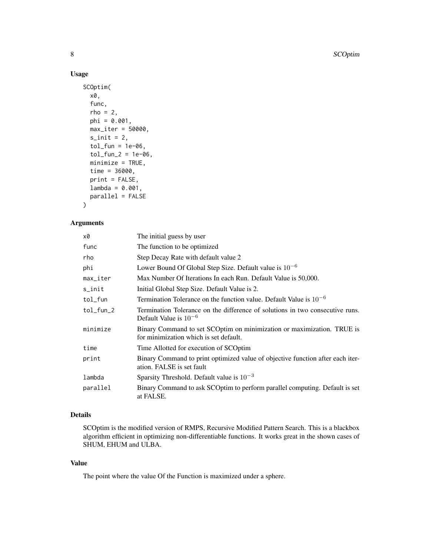### Usage

```
SCOptim(
  x0,
  func,
  rho = 2,
 phi = 0.001,
 max_iter = 50000,
  s_init = 2,
  tol_fun = 1e-06,tol_fun_2 = 1e-06,
 minimize = TRUE,
  time = 36000,
 print = FALSE,
  lambda = 0.001,parallel = FALSE
)
```
#### Arguments

| х0        | The initial guess by user                                                                                        |
|-----------|------------------------------------------------------------------------------------------------------------------|
| func      | The function to be optimized.                                                                                    |
| rho       | Step Decay Rate with default value 2                                                                             |
| phi       | Lower Bound Of Global Step Size. Default value is $10^{-6}$                                                      |
| max_iter  | Max Number Of Iterations In each Run. Default Value is 50,000.                                                   |
| s_init    | Initial Global Step Size. Default Value is 2.                                                                    |
| tol_fun   | Termination Tolerance on the function value. Default Value is $10^{-6}$                                          |
| tol_fun_2 | Termination Tolerance on the difference of solutions in two consecutive runs.<br>Default Value is $10^{-6}$      |
| minimize  | Binary Command to set SCOptim on minimization or maximization. TRUE is<br>for minimization which is set default. |
| time      | Time Allotted for execution of SCOptim                                                                           |
| print     | Binary Command to print optimized value of objective function after each iter-<br>ation. FALSE is set fault      |
| lambda    | Sparsity Threshold. Default value is $10^{-3}$                                                                   |
| parallel  | Binary Command to ask SCOptim to perform parallel computing. Default is set<br>at FALSE.                         |

# Details

SCOptim is the modified version of RMPS, Recursive Modified Pattern Search. This is a blackbox algorithm efficient in optimizing non-differentiable functions. It works great in the shown cases of SHUM, EHUM and ULBA.

# Value

The point where the value Of the Function is maximized under a sphere.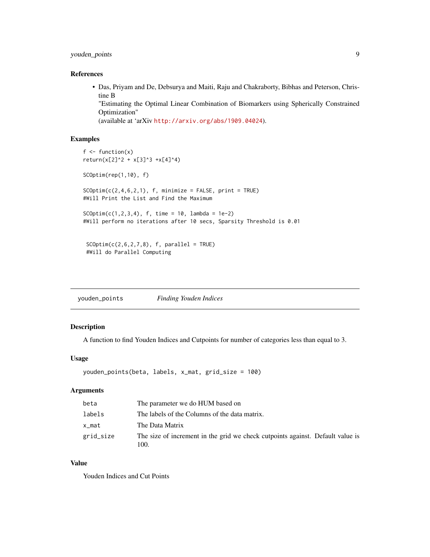# <span id="page-8-0"></span>youden\_points 9

# References

• Das, Priyam and De, Debsurya and Maiti, Raju and Chakraborty, Bibhas and Peterson, Christine B

"Estimating the Optimal Linear Combination of Biomarkers using Spherically Constrained Optimization"

(available at 'arXiv <http://arxiv.org/abs/1909.04024>).

# Examples

```
f \leftarrow function(x)return(x[2]^2 + x[3]^3 + x[4]^4)SCOptim(rep(1,10), f)
SCOptim(c(2, 4, 6, 2, 1), f, minimize = FALSE, print = TRUE)#Will Print the List and Find the Maximum
SCOptim(c(1,2,3,4), f, time = 10, lambda = 1e-2)#Will perform no iterations after 10 secs, Sparsity Threshold is 0.01
SCOptim(c(2,6,2,7,8), f, parallel = TRUE)#Will do Parallel Computing
```
youden\_points *Finding Youden Indices*

#### Description

A function to find Youden Indices and Cutpoints for number of categories less than equal to 3.

### Usage

```
youden_points(beta, labels, x_mat, grid_size = 100)
```
# Arguments

| beta      | The parameter we do HUM based on                                                       |
|-----------|----------------------------------------------------------------------------------------|
| labels    | The labels of the Columns of the data matrix.                                          |
| x_mat     | The Data Matrix                                                                        |
| grid_size | The size of increment in the grid we check cutpoints against. Default value is<br>100. |

# Value

Youden Indices and Cut Points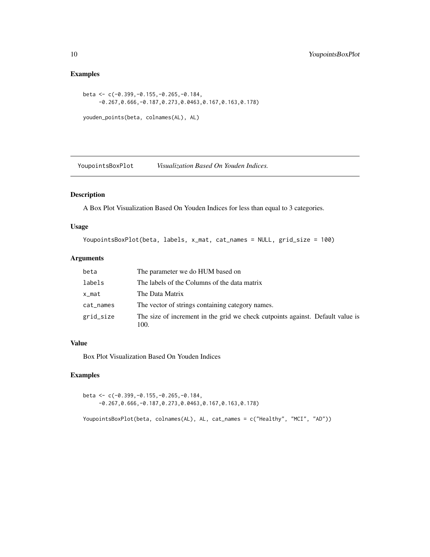# Examples

```
beta <- c(-0.399,-0.155,-0.265,-0.184,
     -0.267,0.666,-0.187,0.273,0.0463,0.167,0.163,0.178)
youden_points(beta, colnames(AL), AL)
```
YoupointsBoxPlot *Visualization Based On Youden Indices.*

# Description

A Box Plot Visualization Based On Youden Indices for less than equal to 3 categories.

#### Usage

```
YoupointsBoxPlot(beta, labels, x_mat, cat_names = NULL, grid_size = 100)
```
# Arguments

| beta      | The parameter we do HUM based on                                                       |
|-----------|----------------------------------------------------------------------------------------|
| labels    | The labels of the Columns of the data matrix                                           |
| x_mat     | The Data Matrix                                                                        |
| cat_names | The vector of strings containing category names.                                       |
| grid_size | The size of increment in the grid we check cutpoints against. Default value is<br>100. |

#### Value

Box Plot Visualization Based On Youden Indices

# Examples

```
beta <- c(-0.399,-0.155,-0.265,-0.184,
     -0.267,0.666,-0.187,0.273,0.0463,0.167,0.163,0.178)
```
YoupointsBoxPlot(beta, colnames(AL), AL, cat\_names = c("Healthy", "MCI", "AD"))

<span id="page-9-0"></span>